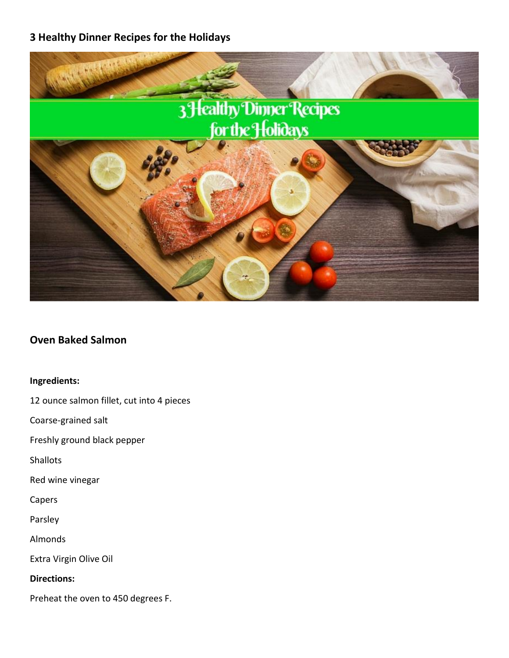# **3 Healthy Dinner Recipes for the Holidays**



# **Oven Baked Salmon**

#### **Ingredients:**

12 ounce salmon fillet, cut into 4 pieces

Coarse-grained salt

Freshly ground black pepper

Shallots

Red wine vinegar

Capers

Parsley

Almonds

Extra Virgin Olive Oil

**Directions:**

Preheat the oven to 450 degrees F.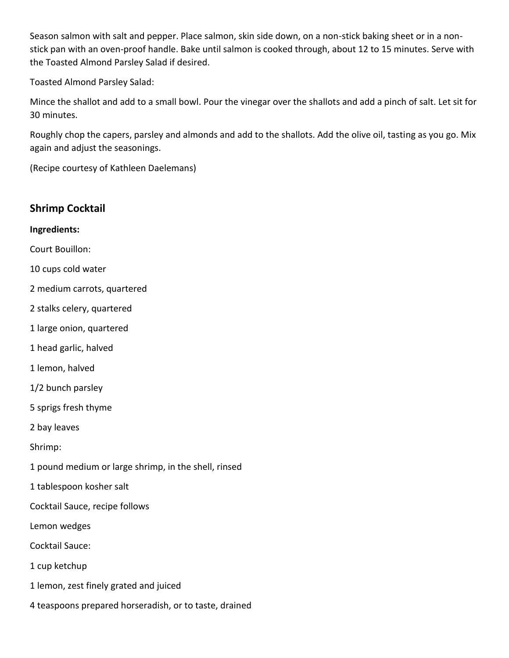Season salmon with salt and pepper. Place salmon, skin side down, on a non-stick baking sheet or in a nonstick pan with an oven-proof handle. Bake until salmon is cooked through, about 12 to 15 minutes. Serve with the Toasted Almond Parsley Salad if desired.

Toasted Almond Parsley Salad:

Mince the shallot and add to a small bowl. Pour the vinegar over the shallots and add a pinch of salt. Let sit for 30 minutes.

Roughly chop the capers, parsley and almonds and add to the shallots. Add the olive oil, tasting as you go. Mix again and adjust the seasonings.

(Recipe courtesy of Kathleen Daelemans)

| <b>Shrimp Cocktail</b>                                 |
|--------------------------------------------------------|
| Ingredients:                                           |
| Court Bouillon:                                        |
| 10 cups cold water                                     |
| 2 medium carrots, quartered                            |
| 2 stalks celery, quartered                             |
| 1 large onion, quartered                               |
| 1 head garlic, halved                                  |
| 1 lemon, halved                                        |
| 1/2 bunch parsley                                      |
| 5 sprigs fresh thyme                                   |
| 2 bay leaves                                           |
| Shrimp:                                                |
| 1 pound medium or large shrimp, in the shell, rinsed   |
| 1 tablespoon kosher salt                               |
| Cocktail Sauce, recipe follows                         |
| Lemon wedges                                           |
| <b>Cocktail Sauce:</b>                                 |
| 1 cup ketchup                                          |
| 1 lemon, zest finely grated and juiced                 |
| 4 teaspoons prepared horseradish, or to taste, drained |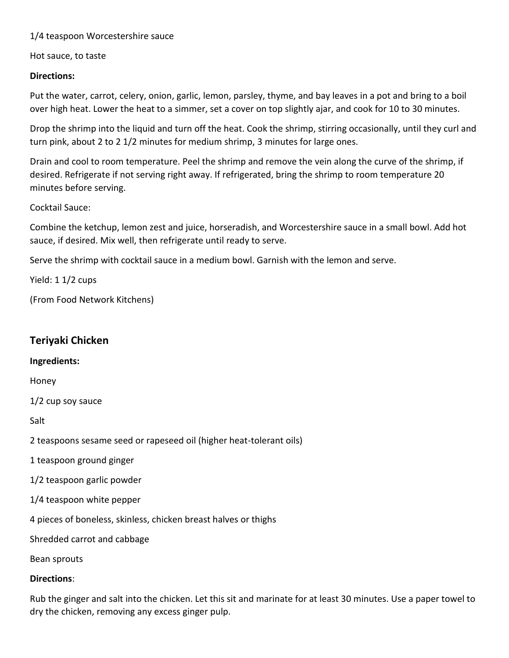## 1/4 teaspoon Worcestershire sauce

Hot sauce, to taste

## **Directions:**

Put the water, carrot, celery, onion, garlic, lemon, parsley, thyme, and bay leaves in a pot and bring to a boil over high heat. Lower the heat to a simmer, set a cover on top slightly ajar, and cook for 10 to 30 minutes.

Drop the shrimp into the liquid and turn off the heat. Cook the shrimp, stirring occasionally, until they curl and turn pink, about 2 to 2 1/2 minutes for medium shrimp, 3 minutes for large ones.

Drain and cool to room temperature. Peel the shrimp and remove the vein along the curve of the shrimp, if desired. Refrigerate if not serving right away. If refrigerated, bring the shrimp to room temperature 20 minutes before serving.

### Cocktail Sauce:

Combine the ketchup, lemon zest and juice, horseradish, and Worcestershire sauce in a small bowl. Add hot sauce, if desired. Mix well, then refrigerate until ready to serve.

Serve the shrimp with cocktail sauce in a medium bowl. Garnish with the lemon and serve.

Yield: 1 1/2 cups

(From Food Network Kitchens)

# **Teriyaki Chicken**

#### **Ingredients:**

Honey

1/2 cup soy sauce

Salt

2 teaspoons sesame seed or rapeseed oil (higher heat-tolerant oils)

- 1 teaspoon ground ginger
- 1/2 teaspoon garlic powder
- 1/4 teaspoon white pepper

4 pieces of boneless, skinless, chicken breast halves or thighs

Shredded carrot and cabbage

Bean sprouts

#### **Directions**:

Rub the ginger and salt into the chicken. Let this sit and marinate for at least 30 minutes. Use a paper towel to dry the chicken, removing any excess ginger pulp.